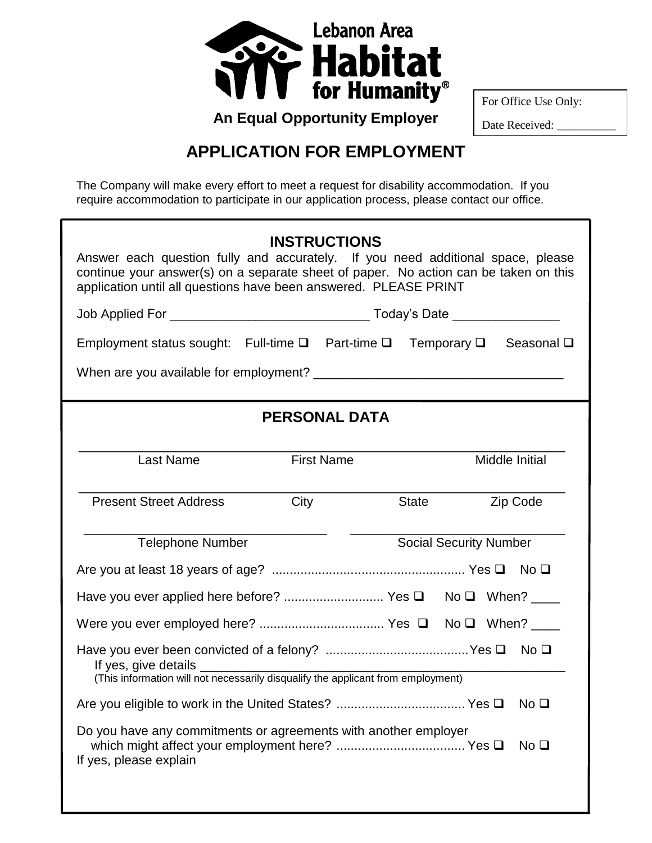

For Office Use Only:

Date Received:

## **APPLICATION FOR EMPLOYMENT**

The Company will make every effort to meet a request for disability accommodation. If you require accommodation to participate in our application process, please contact our office.

| <b>INSTRUCTIONS</b><br>Answer each question fully and accurately. If you need additional space, please<br>continue your answer(s) on a separate sheet of paper. No action can be taken on this<br>application until all questions have been answered. PLEASE PRINT |                      |       |                               |                 |  |
|--------------------------------------------------------------------------------------------------------------------------------------------------------------------------------------------------------------------------------------------------------------------|----------------------|-------|-------------------------------|-----------------|--|
|                                                                                                                                                                                                                                                                    |                      |       |                               |                 |  |
| Employment status sought: Full-time $\square$ Part-time $\square$ Temporary $\square$ Seasonal $\square$                                                                                                                                                           |                      |       |                               |                 |  |
|                                                                                                                                                                                                                                                                    |                      |       |                               |                 |  |
|                                                                                                                                                                                                                                                                    | <b>PERSONAL DATA</b> |       |                               |                 |  |
| <b>Last Name</b>                                                                                                                                                                                                                                                   | <b>First Name</b>    |       |                               | Middle Initial  |  |
| <b>Present Street Address</b>                                                                                                                                                                                                                                      | City                 | State |                               | Zip Code        |  |
| <b>Telephone Number</b>                                                                                                                                                                                                                                            |                      |       | <b>Social Security Number</b> |                 |  |
|                                                                                                                                                                                                                                                                    |                      |       |                               |                 |  |
|                                                                                                                                                                                                                                                                    |                      |       |                               |                 |  |
|                                                                                                                                                                                                                                                                    |                      |       |                               |                 |  |
| (This information will not necessarily disqualify the applicant from employment)                                                                                                                                                                                   |                      |       |                               |                 |  |
| No <sub>Q</sub>                                                                                                                                                                                                                                                    |                      |       |                               |                 |  |
| Do you have any commitments or agreements with another employer<br>If yes, please explain                                                                                                                                                                          |                      |       |                               | No <sub>Q</sub> |  |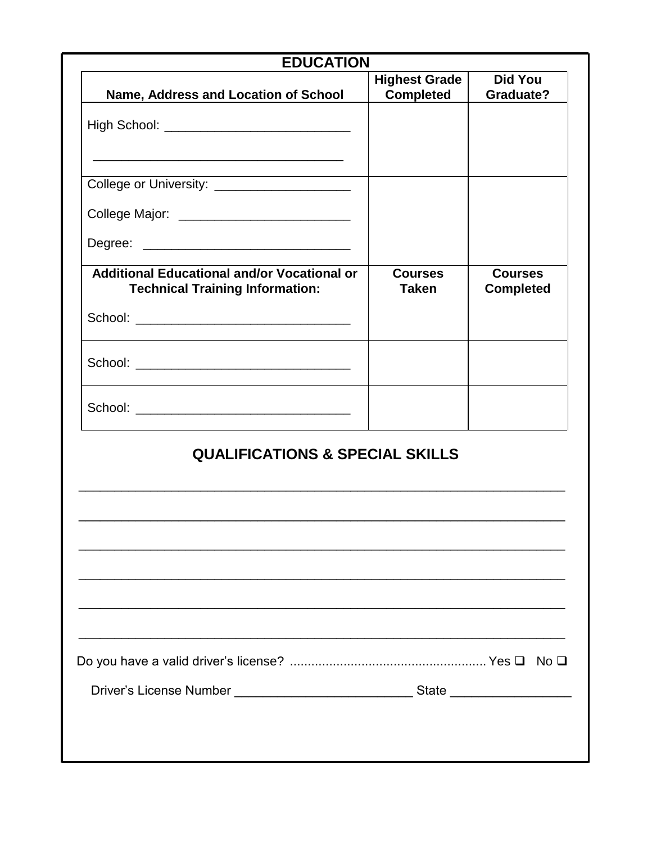| <b>EDUCATION</b>                                                                      |                                          |                                    |
|---------------------------------------------------------------------------------------|------------------------------------------|------------------------------------|
| Name, Address and Location of School                                                  | <b>Highest Grade</b><br><b>Completed</b> | <b>Did You</b><br><b>Graduate?</b> |
|                                                                                       |                                          |                                    |
| College or University: _______________________                                        |                                          |                                    |
| College Major: _____________________________                                          |                                          |                                    |
|                                                                                       |                                          |                                    |
| Additional Educational and/or Vocational or<br><b>Technical Training Information:</b> | <b>Courses</b><br><b>Taken</b>           | <b>Courses</b><br><b>Completed</b> |
|                                                                                       |                                          |                                    |
|                                                                                       |                                          |                                    |
|                                                                                       |                                          |                                    |
| <b>QUALIFICATIONS &amp; SPECIAL SKILLS</b>                                            |                                          |                                    |
|                                                                                       |                                          |                                    |
|                                                                                       |                                          |                                    |
|                                                                                       |                                          |                                    |
|                                                                                       |                                          |                                    |
|                                                                                       |                                          |                                    |
|                                                                                       |                                          |                                    |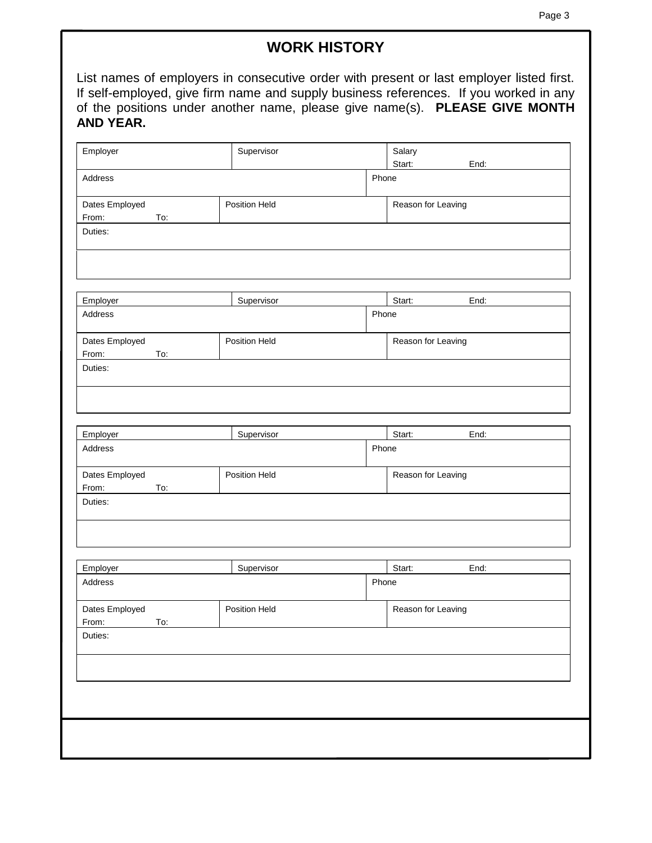## **WORK HISTORY**

List names of employers in consecutive order with present or last employer listed first. If self-employed, give firm name and supply business references. If you worked in any of the positions under another name, please give name(s). **PLEASE GIVE MONTH AND YEAR.** 

| Employer            | Supervisor    |       | Salary             |
|---------------------|---------------|-------|--------------------|
| Address             | Phone         |       | Start:<br>End:     |
|                     |               |       |                    |
| Dates Employed      | Position Held |       | Reason for Leaving |
| From:<br>To:        |               |       |                    |
| Duties:             |               |       |                    |
|                     |               |       |                    |
|                     |               |       |                    |
| Employer            | Supervisor    |       | Start:<br>End:     |
| Address             |               | Phone |                    |
| Dates Employed      | Position Held |       | Reason for Leaving |
| From:<br>To:        |               |       |                    |
| Duties:             |               |       |                    |
|                     |               |       |                    |
|                     |               |       | Start:<br>End:     |
| Employer<br>Address | Supervisor    | Phone |                    |
|                     |               |       |                    |
| Dates Employed      | Position Held |       | Reason for Leaving |
| From:<br>To:        |               |       |                    |
| Duties:             |               |       |                    |
|                     |               |       |                    |
|                     |               |       |                    |
| Employer            | Supervisor    |       | Start:<br>End:     |
| Address             |               | Phone |                    |
| Dates Employed      | Position Held |       | Reason for Leaving |
| From:<br>To:        |               |       |                    |
| Duties:             |               |       |                    |
|                     |               |       |                    |
|                     |               |       |                    |
|                     |               |       |                    |
|                     |               |       |                    |
|                     |               |       |                    |
|                     |               |       |                    |
|                     |               |       |                    |
|                     |               |       |                    |
|                     |               |       |                    |